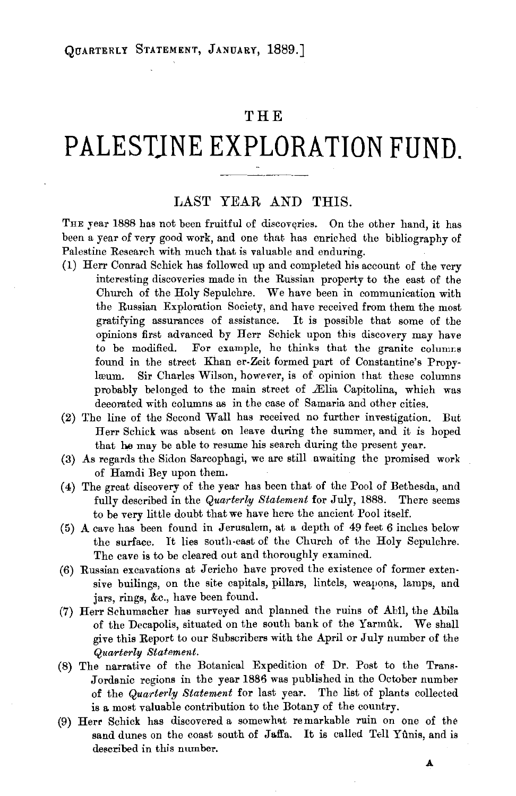# **THE**

# **PALESTJNE EXPLORATION FUND.**

## LAST YEAR AND THIS.

THE year 1888 has not been fruitful of discoveries. On the other hand, it has been a year of very good work, and one that has enriched the bibliography of Palestine Research with much that is valuable and enduring.

- (1) Herr Conrad Schick has followed up and completed his account of the very interesting discoveries made in the Russian property to the east of the Church of the Holy Sepulchre. We have been in communication with the Russian Exploration Society, and have received from them the most gratifying assurances of assistance. It is possible that some of the opinions first advanced by Herr Schick upon this discovery may have to be modified. For example, he thinks that the granite columns found in the street Khan er-Zeit formed part of Constantine's Propy· læum. Sir Charles Wilson, however, is of opinion that these columns probably belonged to the main street of Ælia Capitolina, which was decorated with columns as in the case of Samaria and other cities.
- $(2)$  The line of the Second Wall has received no further investigation. But Herr Schick was absent on leave during the summer, and it is hoped that he may be able to resume his search during the present year.
- (3) As regards the Sidon Sarcophagi, we are still awaiting the promised work of Hamdi Bey upon them.
- (4) The great discovery of the year has been that of the Pool of Bethesda, and fully described in the *Quarterly Statement* for July, 1888. There seems to be very little doubt that we have here the ancient Pool itself.
- (5) A cave has been found in Jerusalem, at a depth of 49 feet 6 inches below the surface. It lies south-east of the Church of the Holy Sepulchre. The cave is to be cleared out and thoroughly examined.
- (6) Russian excavations at Jericho have proved the existence of former extensive builings, on the site capitals, pillars, lintels, weapons, lamps, and jars, rings, &c., have been found.
- (7) Herr Schumacher has surveyed and planned the ruins of Abtl, the Abila of the Decapolis, situated on the south bank of the Yarmuk. We shall give this Report to our Subscribers with the April or July number of the *Quarterly Statement.*
- (8) The narrative of the Botanical Expedition of Dr. Post to the Trans-Jordanic regions in the year 1886 was published in the October number of the *Quarterly Statement* for last year. The list of plants collected is a most valuable contribution to the Botany of the country.
- (9) Herr Schick has discovered a somewhat remarkable ruin on one of the sand dunes on the coast south of Jaffa. It is called Tell Yunis, and is described in this number.

**.A.**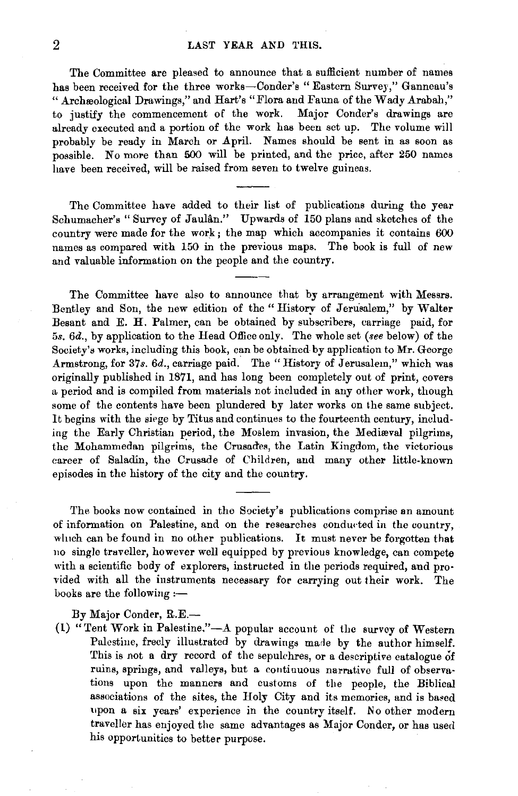### 2 LAST YEAR AND THIS.

The Committee are pleased to announce that a sufficient number of names has been received for the three works-Conder's "Eastern Survey," Ganneau's " Archæological Drawings," and Hart's "Flora and Fauna of the Wady Arabah," to justify the commencement of the work. Major Conder's drawings are already executed and a portion of the work has been set up. The volume will probably be ready in March or April. Names should be sent in as soon as possible. No more than 500 will be printed, and the price, after 250 names have been received, will be raised from seven to twelve guineas.

The Committee have added to their list of publications during the year Schumacher's "Survey of Jaulan." Upwards of 150 plans and sketches of the country were made for the work; the map which accompanies it contains 600 names as compared with 150 in the previous maps. The book is full of new and valuable information on the people and the country.

The Committee have also to announce that by arrangement with Messrs. Bentley and Son, the new edition of the" History of Jerusalem," by Walter Besant and E. H. Palmer, can be obtained by subscribers, carriage paid, for 5s. 6d., by application to the Head Office only. The whole set *(see* below) of the Society's works, including this book, can be obtained by application to Mr. George Armstrong, for 37s. 6d., carriage paid. The "History of Jerusalem," which was originally published in 1871, and has long been completely out of print, covers a period and is compiled from materials not included in any other work, though some of the contents have been plundered by later works on the same subject. It begins with the siege by Titus and continues to the fourteenth century, including the Early Christian period, the Moslem invasion, the Medieval pilgrims, the Mohammedan pilgrims, the Crusades, the Latin Kingdom, the victorious career of Saladin, the Crusade of Children, and many other little-known episodes in the history of the city and the country.

The books now contained in the Society's publications comprise an amount of information on Palestine, and on the researches conducted in the country, which can be found in no other publications. It must never be forgotten that no single traveller, however well equipped by previous knowledge, can compete with a scientific body of explorers, instructed in the periods required, and proided with all the instruments necessary for carrying out their work. The books are the following :-

By Major Conder, R.E.-

(1) "Tent Work in Palestine." $-A$  popular account of the survey of Western Palestine, freely illustrated by drawings made by the author himself. This is not a dry record of the sepulchres, or a descriptive catalogue of ruins, springs, and valleys, but a continuous narrative full of observations upon the manners and customs of the people, the Biblical associations of the sites, the Holy City and its memories, and is ba•ed upon a six years' experience in the country itself. No other modern traveller has enjoyed the same advantages as Major Conder, or has used his opportunities to better purpose.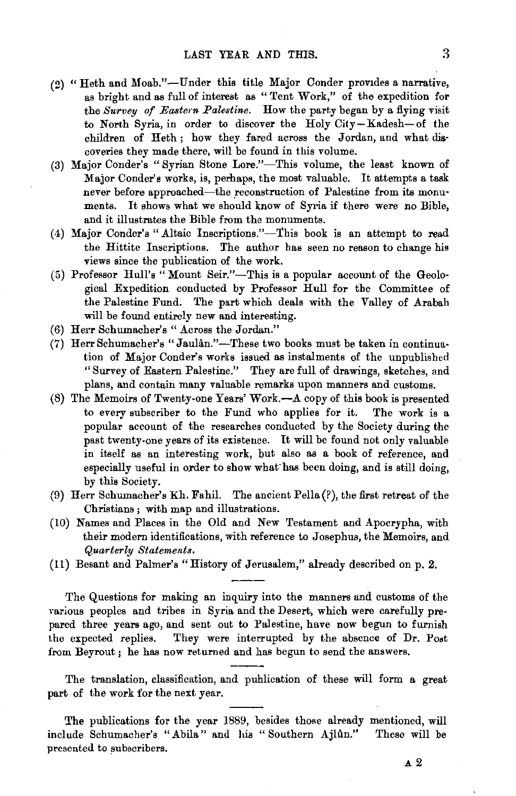- (2) "Heth and Moab."-Under this title Major Conder provides a narrative, as bright and as full of interest as "Tent Work," of the expedition for the *Survey of Eastern Palestine.* How the party began by a flying visit to North Syria, in order to discover the Holy City-Kadesh-of the children of Heth; how they fared across the Jordan, and what discoveries they made there, will be found in this volume.
- (3) Major Conder's "Syrian Stone Lore."-This volume, the least known of Major Conder's works, is, perhaps, the most valuable. It attempts a task never before approached-the reconstruction of Palestine from its monuments. It shows what we should know of Syria if there were no Bible, and it illustrates the Bible from the monuments.
- (4) Major Conder's "Altaic Inscriptions."-This book is an attempt to read the Hittite Inscriptions. The author has seen no reason to change his views since the publication of the work.
- (5) Professor Hull's  $\alpha$  Mount Seir."-This is a popular account of the Geological Expedition conducted by Professor Hull for the Committee of the Palestine Fund. The part which deals with the Valley of Arabah will be found entirely new and interesting.
- (6) Herr Schumacher's "Across the Jordan."
- (7) HerrSchumacher's "Jaulan."-These two books must be taken in continuation of Major Conder's works issued as instalments of the unpublished "Survey of Eastern Palestine." They are full of drawings, sketches, and plans, and contain many valuable remarks upon manners and customs.
- (8) The Memoirs of Twenty-one Years' Work.-A copy of this book is presented to every subscriber to the Fund who applies for it. The work is a popular account of the researches conducted by the Society during the past twenty-one years of its existence. It will be found not only valuable in itself as an interesting work, but also as a book of reference, and especially useful in order to show what has been doing, and is still doing. by this Society.
- (9) Herr Schumacher's Kh. FahiL The ancient Pella(?), the first retreat of the Christians ; with map and illustrations.
- (10) Names and Places in the Old and New Testament and Apocrypha, with their modern identifications, with reference to Josephus, the Memoirs, and *Quarterly Statements.*
- (11) Besant and Palmer's "History of Jerusalem," already described on p. 2.

The Questions for making an inquiry into the manners and customs of the various peoples and tribes in Syria and the Desert, which were carefully prepared three years ago, and sent out to Palestine, have now begun to furnish the expected replies. They were interrupted by the absence of Dr. Poot from Beyrout ; he has now returned and has begun to send the answers.

The translation, classification, and publication of these will form a great part of the work for the next year.

The publications for the year 1889, besides those already mentioned, will include Schumacher's "Abila" and his " Southern Ajlfin." These will be presented to subscribers.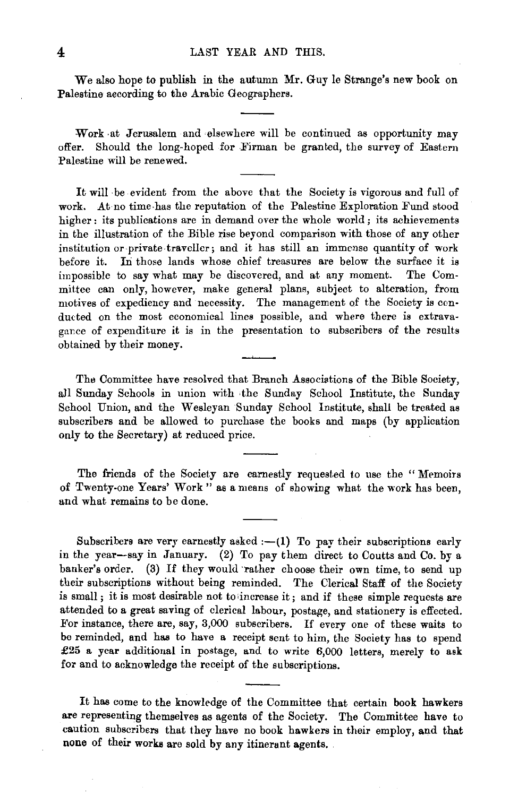We also hope to publish in the autumn Mr. Guy le Strange's new book on Palestine according to the Arabic Geographers.

Work at Jerusalem and elsewhere will be continued as opportunity may offer. Should the long-hoped for Firman be granted, the survey of Eastern Palestine will be renewed.

It will ·be evident from the above that the Society is vigorous and full of work. At no time has the reputation of the Palestine Exploration Fund stood higher: its publications are in demand over the whole world; its achievements in the illustration of the Bible rise beyond comparison with those of any other institution or·private.traveller; and it has still an immense quantity of work before it. In those lands whose chief treasures are below the surface it is impossible to say what may be discovered, and at any moment. The Committee can only, however, make general plans, subject to alteration, from motives of expediency and necessity. The management of the Society is conducted on the most economical lines possible, and where there is extravagance of expenditure it is in the presentation to subscribers of the results obtained by their money.

The Committee have resolved that Branch Associations of the Bible Society, all Sunday Schools in union with ·the Sunday School Institute, the Sunday School Union, and the Wesleyan Sunday School Institute, shall be treated as subscribers and be allowed to purchase the books and maps (by application only to the Secretary) at reduced price.

The friends of the Society are earnestly requested to use the "Memoirs of Twenty-one Years' Work" as a means of showing what the work has been, and what remains to be done.

Subscribers are very earnestly asked  $:-(1)$  To pay their subscriptions early in the year-say in January. (2) To pay them direct to Coutts and Co. by a banker's order. (3) If they would rather choose their own time, to send up their subscriptions without being reminded. The Clerical Staff of the Society is small; it is most desirable not to 'increase it; and if these simple requests are attended to a great saving of clerical labour, postage, and stationery is effected. For instance, there are, say, 3,000 subscribers. If every one of these waits to be reminded, and has to have a receipt sent to him, the Society has to spend £25 a year additional in postage, and to write 6,000 letters, merely to ask for and to acknowledge the receipt of the subscriptions.

It has come to the knowledge of the Committee that certain book hawkers are representing themselves as agents of the Society. The Committee have to caution subscribers that they have no book hawkers in their employ, and that none of their works are sold by any itinerant agents.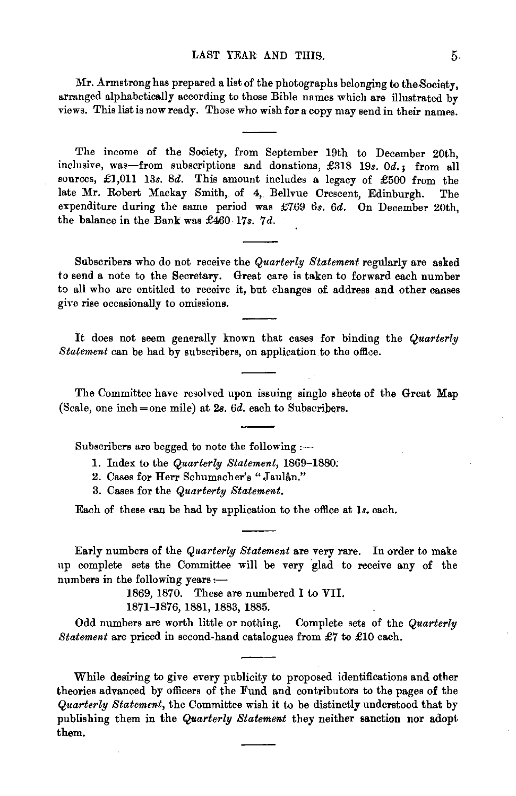#### LAST YEAR AND THIS. 5.

Mr. Armstrong has prepared a list of the photographs belonging to the Society, arranged alphabetically according to those Bible names which are illustrated by views. This list is now ready. Those who wish for a copy may send in their names.

The income of the Society, from September 19th to December 20th, inclusive, was-from subscriptions and donations, £318 19s. *Od.;* from all sources,  $\pounds1,011$  13s. 8d. This amount includes a legacy of  $\pounds500$  from the late Mr. Robert Mackay Smith, of 4, Bellvue Crescent, Edinburgh. The expenditure during the same period was £769 *6s. 6d.* On December 20th, the balance in the Bank was £460 17s. 7d.

Subscribers who do not receive the *Quarterly Statement* regularly are asked to send a note to the Secretary. Great care is taken to forward each number to all who are entitled to receive it, but changes of address and other causes giyo rise occasionally to omissions.

It does not seem generally known that cases for binding the *Quarterly Statement* can be had by subscribers, on application to the office.

The Committee have resolved upon issuing single sheets of the Great Map (Scale, one inch=one mile) at *2B. 6d.* each to Subscribers.

Subscribers are begged to note the following  $:$ --

- 1. Index to the *Quarterly Statement,* 1869-1880;
- 2. Cases for Herr Schumacher's "Jaulân."
- 3. Cases for the *Quarterly Statement.*

Each of these can be had by application to the office at ls. each.

Early numbers of the *Quarterly Statement* are very rare. In order to make up complete sets the Committee will be very glad to receive any of the numbers in the following years :-

1869, 1870. These are numbered I to VII.

1871-1876, 1881, 1883, 1885.

Odd numbers are worth little or nothing. Complete sets of the *Quarterly Statement* are priced in second-hand catalogues from £7 to £10 each.

While desiring to give every publicity to proposed identifications and other theories advanced by officers of the Fund and contributors to the pages of the *Quarterly Statement,* the Committee wish it to be distinctly understood that by publishing them in the *Quarterly Statement* they neither sanction nor adopt them.